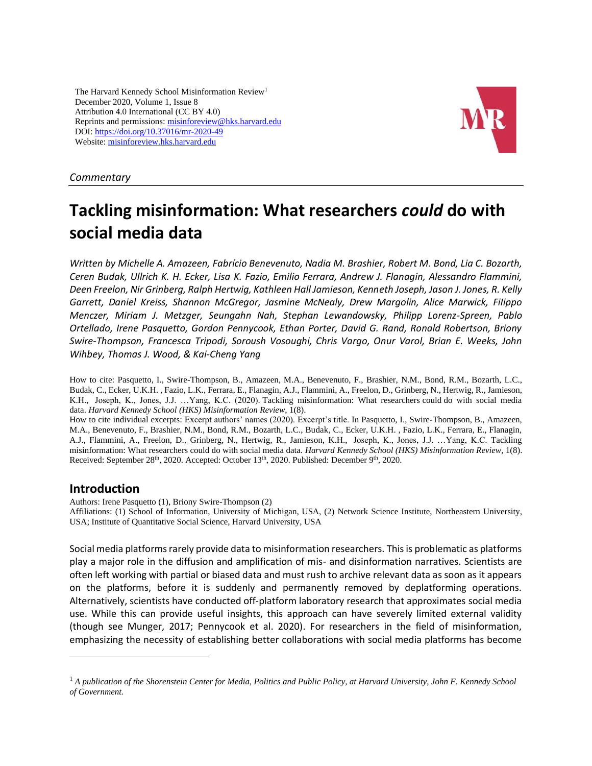The Harvard Kennedy School Misinformation Review<sup>1</sup> December 2020, Volume 1, Issue 8 Attribution 4.0 International (CC BY 4.0) Reprints and permissions: [misinforeview@hks.harvard.edu](http://misinforeview@hks.harvard.edu/) DOI[: https://doi.org/10.37016/mr-2020-49](https://doi.org/10.37016/mr-2020-49) Website[: misinforeview.hks.harvard.edu](http://misinforeview.hks.harvard.edu/)



## *Commentary*

# **Tackling misinformation: What researchers** *could* **do with social media data**

*Written by Michelle A. Amazeen, Fabrício Benevenuto, Nadia M. Brashier, Robert M. Bond, Lia C. Bozarth, Ceren Budak, Ullrich K. H. Ecker, Lisa K. Fazio, Emilio Ferrara, Andrew J. Flanagin, Alessandro Flammini, Deen Freelon, Nir Grinberg, Ralph Hertwig, Kathleen Hall Jamieson, Kenneth Joseph, Jason J. Jones, R. Kelly Garrett, Daniel Kreiss, Shannon McGregor, Jasmine McNealy, Drew Margolin, Alice Marwick, FiIippo Menczer, Miriam J. Metzger, Seungahn Nah, Stephan Lewandowsky, Philipp Lorenz-Spreen, Pablo Ortellado, Irene Pasquetto, Gordon Pennycook, Ethan Porter, David G. Rand, Ronald Robertson, Briony Swire-Thompson, Francesca Tripodi, Soroush Vosoughi, Chris Vargo, Onur Varol, Brian E. Weeks, John Wihbey, Thomas J. Wood, & Kai-Cheng Yang*

How to cite: Pasquetto, I., Swire-Thompson, B., Amazeen, M.A., Benevenuto, F., Brashier, N.M., Bond, R.M., Bozarth, L.C., Budak, C., Ecker, U.K.H. , Fazio, L.K., Ferrara, E., Flanagin, A.J., Flammini, A., Freelon, D., Grinberg, N., Hertwig, R., Jamieson, K.H., Joseph, K., Jones, J.J. …Yang, K.C. (2020). Tackling misinformation: What researchers could do with social media data. *Harvard Kennedy School (HKS) Misinformation Review*, 1(8).

How to cite individual excerpts: Excerpt authors' names (2020). Excerpt's title. In Pasquetto, I., Swire-Thompson, B., Amazeen, M.A., Benevenuto, F., Brashier, N.M., Bond, R.M., Bozarth, L.C., Budak, C., Ecker, U.K.H. , Fazio, L.K., Ferrara, E., Flanagin, A.J., Flammini, A., Freelon, D., Grinberg, N., Hertwig, R., Jamieson, K.H., Joseph, K., Jones, J.J. …Yang, K.C. Tackling misinformation: What researchers could do with social media data. *Harvard Kennedy School (HKS) Misinformation Review,* 1(8). Received: September 28<sup>th</sup>, 2020. Accepted: October 13<sup>th</sup>, 2020. Published: December 9<sup>th</sup>, 2020.

# **Introduction**

Authors: Irene Pasquetto (1), Briony Swire-Thompson (2) Affiliations: (1) School of Information, University of Michigan, USA, (2) Network Science Institute, Northeastern University, USA; Institute of Quantitative Social Science, Harvard University, USA

Social media platforms rarely provide data to misinformation researchers. This is problematic as platforms play a major role in the diffusion and amplification of mis- and disinformation narratives. Scientists are often left working with partial or biased data and must rush to archive relevant data as soon as it appears on the platforms, before it is suddenly and permanently removed by deplatforming operations. Alternatively, scientists have conducted off-platform laboratory research that approximates social media use. While this can provide useful insights, this approach can have severely limited external validity (though see Munger, 2017; Pennycook et al. 2020). For researchers in the field of misinformation, emphasizing the necessity of establishing better collaborations with social media platforms has become

<sup>1</sup> *A publication of the Shorenstein Center for Media, Politics and Public Policy, at Harvard University, John F. Kennedy School of Government.*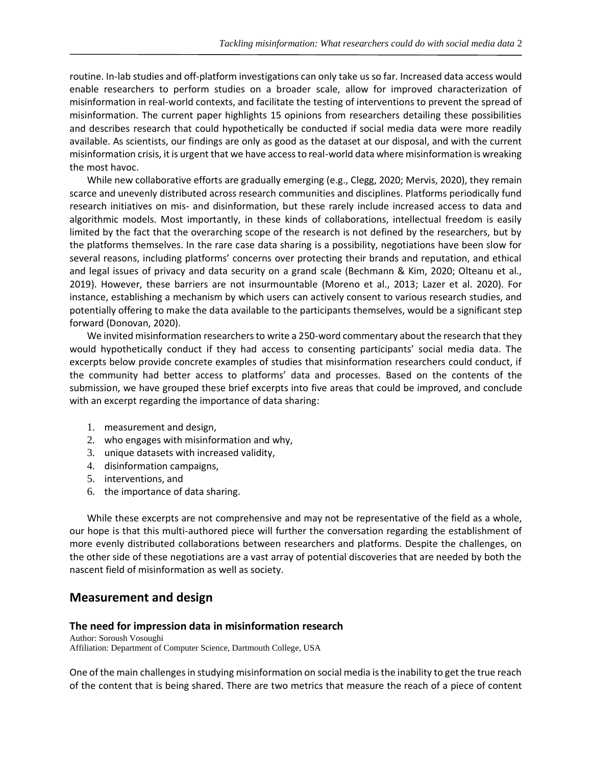routine. In-lab studies and off-platform investigations can only take us so far. Increased data access would enable researchers to perform studies on a broader scale, allow for improved characterization of misinformation in real-world contexts, and facilitate the testing of interventions to prevent the spread of misinformation. The current paper highlights 15 opinions from researchers detailing these possibilities and describes research that could hypothetically be conducted if social media data were more readily available. As scientists, our findings are only as good as the dataset at our disposal, and with the current misinformation crisis, it is urgent that we have access to real-world data where misinformation is wreaking the most havoc.

While new collaborative efforts are gradually emerging (e.g., Clegg, 2020; Mervis, 2020), they remain scarce and unevenly distributed across research communities and disciplines. Platforms periodically fund research initiatives on mis- and disinformation, but these rarely include increased access to data and algorithmic models. Most importantly, in these kinds of collaborations, intellectual freedom is easily limited by the fact that the overarching scope of the research is not defined by the researchers, but by the platforms themselves. In the rare case data sharing is a possibility, negotiations have been slow for several reasons, including platforms' concerns over protecting their brands and reputation, and ethical and legal issues of privacy and data security on a grand scale (Bechmann & Kim, 2020; Olteanu et al., 2019). However, these barriers are not insurmountable (Moreno et al., 2013; Lazer et al. 2020). For instance, establishing a mechanism by which users can actively consent to various research studies, and potentially offering to make the data available to the participants themselves, would be a significant step forward (Donovan, 2020).

We invited misinformation researchers to write a 250-word commentary about the research that they would hypothetically conduct if they had access to consenting participants' social media data. The excerpts below provide concrete examples of studies that misinformation researchers could conduct, if the community had better access to platforms' data and processes. Based on the contents of the submission, we have grouped these brief excerpts into five areas that could be improved, and conclude with an excerpt regarding the importance of data sharing:

- 1. measurement and design,
- 2. who engages with misinformation and why,
- 3. unique datasets with increased validity,
- 4. disinformation campaigns,
- 5. interventions, and
- 6. the importance of data sharing.

While these excerpts are not comprehensive and may not be representative of the field as a whole, our hope is that this multi-authored piece will further the conversation regarding the establishment of more evenly distributed collaborations between researchers and platforms. Despite the challenges, on the other side of these negotiations are a vast array of potential discoveries that are needed by both the nascent field of misinformation as well as society.

## **Measurement and design**

#### **The need for impression data in misinformation research**

Author: Soroush Vosoughi Affiliation: Department of Computer Science, Dartmouth College, USA

One of the main challenges in studying misinformation on social media is the inability to get the true reach of the content that is being shared. There are two metrics that measure the reach of a piece of content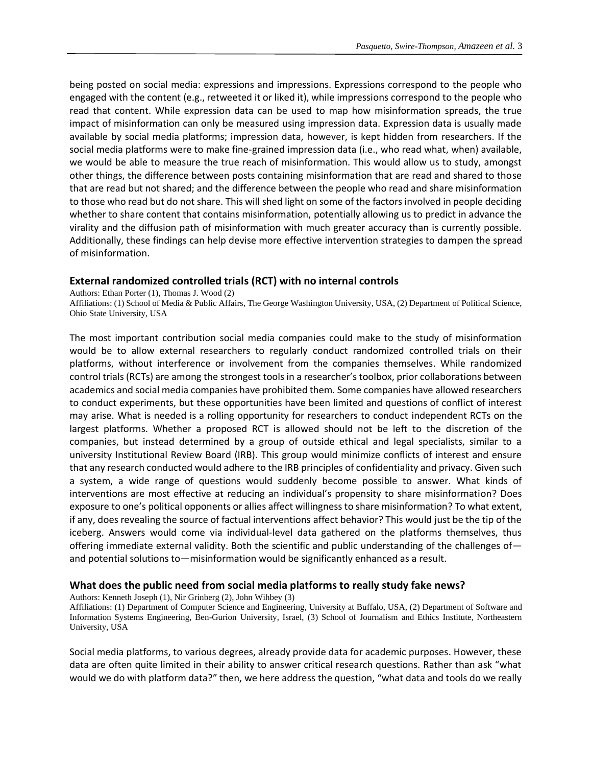being posted on social media: expressions and impressions. Expressions correspond to the people who engaged with the content (e.g., retweeted it or liked it), while impressions correspond to the people who read that content. While expression data can be used to map how misinformation spreads, the true impact of misinformation can only be measured using impression data. Expression data is usually made available by social media platforms; impression data, however, is kept hidden from researchers. If the social media platforms were to make fine-grained impression data (i.e., who read what, when) available, we would be able to measure the true reach of misinformation. This would allow us to study, amongst other things, the difference between posts containing misinformation that are read and shared to those that are read but not shared; and the difference between the people who read and share misinformation to those who read but do not share. This will shed light on some of the factors involved in people deciding whether to share content that contains misinformation, potentially allowing us to predict in advance the virality and the diffusion path of misinformation with much greater accuracy than is currently possible. Additionally, these findings can help devise more effective intervention strategies to dampen the spread of misinformation.

## **External randomized controlled trials (RCT) with no internal controls**

Authors: Ethan Porter (1), Thomas J. Wood (2) Affiliations: (1) School of Media & Public Affairs, The George Washington University, USA, (2) Department of Political Science, Ohio State University, USA

The most important contribution social media companies could make to the study of misinformation would be to allow external researchers to regularly conduct randomized controlled trials on their platforms, without interference or involvement from the companies themselves. While randomized control trials (RCTs) are among the strongest tools in a researcher's toolbox, prior collaborations between academics and social media companies have prohibited them. Some companies have allowed researchers to conduct experiments, but these opportunities have been limited and questions of conflict of interest may arise. What is needed is a rolling opportunity for researchers to conduct independent RCTs on the largest platforms. Whether a proposed RCT is allowed should not be left to the discretion of the companies, but instead determined by a group of outside ethical and legal specialists, similar to a university Institutional Review Board (IRB). This group would minimize conflicts of interest and ensure that any research conducted would adhere to the IRB principles of confidentiality and privacy. Given such a system, a wide range of questions would suddenly become possible to answer. What kinds of interventions are most effective at reducing an individual's propensity to share misinformation? Does exposure to one's political opponents or allies affect willingness to share misinformation? To what extent, if any, does revealing the source of factual interventions affect behavior? This would just be the tip of the iceberg. Answers would come via individual-level data gathered on the platforms themselves, thus offering immediate external validity. Both the scientific and public understanding of the challenges of and potential solutions to—misinformation would be significantly enhanced as a result.

## **What does the public need from social media platforms to really study fake news?**

Authors: Kenneth Joseph (1), Nir Grinberg (2), John Wihbey (3)

Affiliations: (1) Department of Computer Science and Engineering, University at Buffalo, USA, (2) Department of Software and Information Systems Engineering, Ben-Gurion University, Israel, (3) School of Journalism and Ethics Institute, Northeastern University, USA

Social media platforms, to various degrees, already provide data for academic purposes. However, these data are often quite limited in their ability to answer critical research questions. Rather than ask "what would we do with platform data?" then, we here address the question, "what data and tools do we really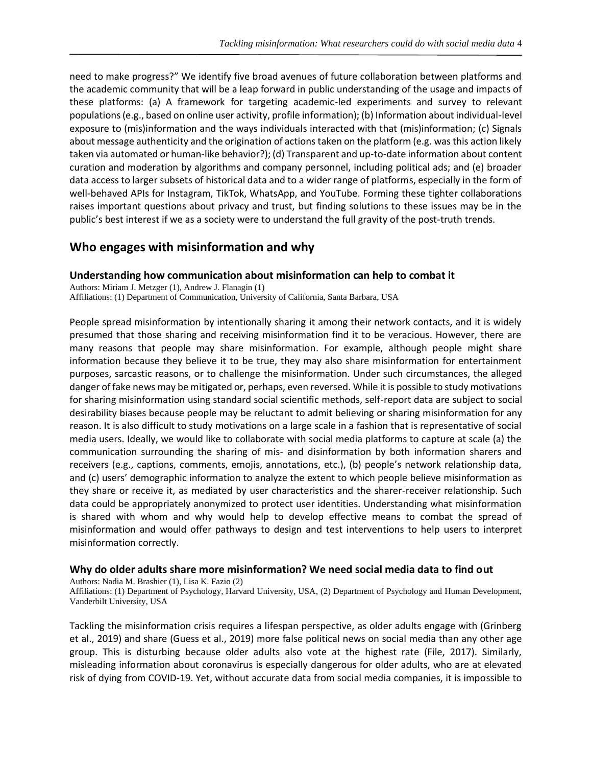need to make progress?" We identify five broad avenues of future collaboration between platforms and the academic community that will be a leap forward in public understanding of the usage and impacts of these platforms: (a) A framework for targeting academic-led experiments and survey to relevant populations (e.g., based on online user activity, profile information); (b) Information about individual-level exposure to (mis)information and the ways individuals interacted with that (mis)information; (c) Signals about message authenticity and the origination of actions taken on the platform (e.g. was this action likely taken via automated or human-like behavior?); (d) Transparent and up-to-date information about content curation and moderation by algorithms and company personnel, including political ads; and (e) broader data access to larger subsets of historical data and to a wider range of platforms, especially in the form of well-behaved APIs for Instagram, TikTok, WhatsApp, and YouTube. Forming these tighter collaborations raises important questions about privacy and trust, but finding solutions to these issues may be in the public's best interest if we as a society were to understand the full gravity of the post-truth trends.

# **Who engages with misinformation and why**

## **Understanding how communication about misinformation can help to combat it**

Authors: Miriam J. Metzger (1), Andrew J. Flanagin (1) Affiliations: (1) Department of Communication, University of California, Santa Barbara, USA

People spread misinformation by intentionally sharing it among their network contacts, and it is widely presumed that those sharing and receiving misinformation find it to be veracious. However, there are many reasons that people may share misinformation. For example, although people might share information because they believe it to be true, they may also share misinformation for entertainment purposes, sarcastic reasons, or to challenge the misinformation. Under such circumstances, the alleged danger of fake news may be mitigated or, perhaps, even reversed. While it is possible to study motivations for sharing misinformation using standard social scientific methods, self-report data are subject to social desirability biases because people may be reluctant to admit believing or sharing misinformation for any reason. It is also difficult to study motivations on a large scale in a fashion that is representative of social media users. Ideally, we would like to collaborate with social media platforms to capture at scale (a) the communication surrounding the sharing of mis- and disinformation by both information sharers and receivers (e.g., captions, comments, emojis, annotations, etc.), (b) people's network relationship data, and (c) users' demographic information to analyze the extent to which people believe misinformation as they share or receive it, as mediated by user characteristics and the sharer-receiver relationship. Such data could be appropriately anonymized to protect user identities. Understanding what misinformation is shared with whom and why would help to develop effective means to combat the spread of misinformation and would offer pathways to design and test interventions to help users to interpret misinformation correctly.

## **Why do older adults share more misinformation? We need social media data to find out**

Authors: Nadia M. Brashier (1), Lisa K. Fazio (2)

Affiliations: (1) Department of Psychology, Harvard University, USA, (2) Department of Psychology and Human Development, Vanderbilt University, USA

Tackling the misinformation crisis requires a lifespan perspective, as older adults engage with (Grinberg et al., 2019) and share (Guess et al., 2019) more false political news on social media than any other age group. This is disturbing because older adults also vote at the highest rate (File, 2017). Similarly, misleading information about coronavirus is especially dangerous for older adults, who are at elevated risk of dying from COVID-19. Yet, without accurate data from social media companies, it is impossible to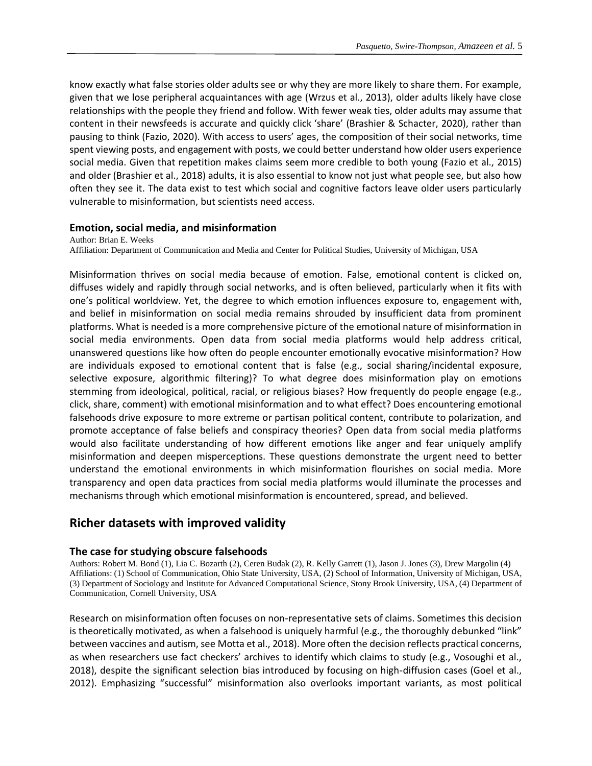know exactly what false stories older adults see or why they are more likely to share them. For example, given that we lose peripheral acquaintances with age (Wrzus et al., 2013), older adults likely have close relationships with the people they friend and follow. With fewer weak ties, older adults may assume that content in their newsfeeds is accurate and quickly click 'share' (Brashier & Schacter, 2020), rather than pausing to think (Fazio, 2020). With access to users' ages, the composition of their social networks, time spent viewing posts, and engagement with posts, we could better understand how older users experience social media. Given that repetition makes claims seem more credible to both young (Fazio et al., 2015) and older (Brashier et al., 2018) adults, it is also essential to know not just what people see, but also how often they see it. The data exist to test which social and cognitive factors leave older users particularly vulnerable to misinformation, but scientists need access.

#### **Emotion, social media, and misinformation**

Author: Brian E. Weeks Affiliation: Department of Communication and Media and Center for Political Studies, University of Michigan, USA

Misinformation thrives on social media because of emotion. False, emotional content is clicked on, diffuses widely and rapidly through social networks, and is often believed, particularly when it fits with one's political worldview. Yet, the degree to which emotion influences exposure to, engagement with, and belief in misinformation on social media remains shrouded by insufficient data from prominent platforms. What is needed is a more comprehensive picture of the emotional nature of misinformation in social media environments. Open data from social media platforms would help address critical, unanswered questions like how often do people encounter emotionally evocative misinformation? How are individuals exposed to emotional content that is false (e.g., social sharing/incidental exposure, selective exposure, algorithmic filtering)? To what degree does misinformation play on emotions stemming from ideological, political, racial, or religious biases? How frequently do people engage (e.g., click, share, comment) with emotional misinformation and to what effect? Does encountering emotional falsehoods drive exposure to more extreme or partisan political content, contribute to polarization, and promote acceptance of false beliefs and conspiracy theories? Open data from social media platforms would also facilitate understanding of how different emotions like anger and fear uniquely amplify misinformation and deepen misperceptions. These questions demonstrate the urgent need to better understand the emotional environments in which misinformation flourishes on social media. More transparency and open data practices from social media platforms would illuminate the processes and mechanisms through which emotional misinformation is encountered, spread, and believed.

# **Richer datasets with improved validity**

#### **The case for studying obscure falsehoods**

Authors: Robert M. Bond (1), Lia C. Bozarth (2), Ceren Budak (2), R. Kelly Garrett (1), Jason J. Jones (3), Drew Margolin (4) Affiliations: (1) School of Communication, Ohio State University, USA, (2) School of Information, University of Michigan, USA, (3) Department of Sociology and Institute for Advanced Computational Science, Stony Brook University, USA, (4) Department of Communication, Cornell University, USA

Research on misinformation often focuses on non-representative sets of claims. Sometimes this decision is theoretically motivated, as when a falsehood is uniquely harmful (e.g., the thoroughly debunked "link" between vaccines and autism, see Motta et al., 2018). More often the decision reflects practical concerns, as when researchers use fact checkers' archives to identify which claims to study (e.g., Vosoughi et al., 2018), despite the significant selection bias introduced by focusing on high-diffusion cases (Goel et al., 2012). Emphasizing "successful" misinformation also overlooks important variants, as most political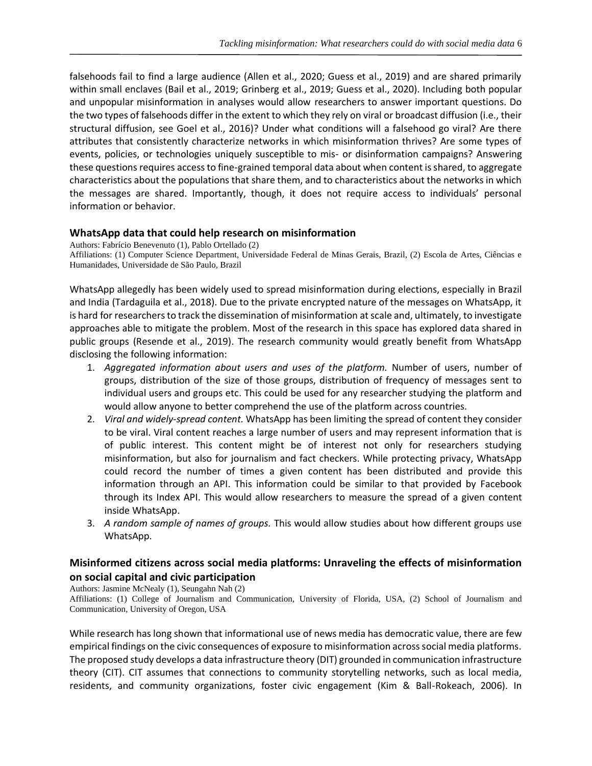falsehoods fail to find a large audience (Allen et al., 2020; Guess et al., 2019) and are shared primarily within small enclaves (Bail et al., 2019; Grinberg et al., 2019; Guess et al., 2020). Including both popular and unpopular misinformation in analyses would allow researchers to answer important questions. Do the two types of falsehoods differ in the extent to which they rely on viral or broadcast diffusion (i.e., their structural diffusion, see Goel et al., 2016)? Under what conditions will a falsehood go viral? Are there attributes that consistently characterize networks in which misinformation thrives? Are some types of events, policies, or technologies uniquely susceptible to mis- or disinformation campaigns? Answering these questions requires access to fine-grained temporal data about when content is shared, to aggregate characteristics about the populations that share them, and to characteristics about the networks in which the messages are shared. Importantly, though, it does not require access to individuals' personal information or behavior.

## **WhatsApp data that could help research on misinformation**

Authors: Fabrício Benevenuto (1), Pablo Ortellado (2) Affiliations: (1) Computer Science Department, Universidade Federal de Minas Gerais, Brazil, (2) Escola de Artes, Ciências e Humanidades, Universidade de São Paulo, Brazil

WhatsApp allegedly has been widely used to spread misinformation during elections, especially in Brazil and India (Tardaguila et al., 2018). Due to the private encrypted nature of the messages on WhatsApp, it is hard for researchers to track the dissemination of misinformation at scale and, ultimately, to investigate approaches able to mitigate the problem. Most of the research in this space has explored data shared in public groups (Resende et al., 2019). The research community would greatly benefit from WhatsApp disclosing the following information:

- 1. *Aggregated information about users and uses of the platform.* Number of users, number of groups, distribution of the size of those groups, distribution of frequency of messages sent to individual users and groups etc. This could be used for any researcher studying the platform and would allow anyone to better comprehend the use of the platform across countries.
- 2. *Viral and widely-spread content.* WhatsApp has been limiting the spread of content they consider to be viral. Viral content reaches a large number of users and may represent information that is of public interest. This content might be of interest not only for researchers studying misinformation, but also for journalism and fact checkers. While protecting privacy, WhatsApp could record the number of times a given content has been distributed and provide this information through an API. This information could be similar to that provided by Facebook through its Index API. This would allow researchers to measure the spread of a given content inside WhatsApp.
- 3. *A random sample of names of groups.* This would allow studies about how different groups use WhatsApp.

## **Misinformed citizens across social media platforms: Unraveling the effects of misinformation on social capital and civic participation**

Authors: Jasmine McNealy (1), Seungahn Nah (2)

Affiliations: (1) College of Journalism and Communication, University of Florida, USA, (2) School of Journalism and Communication, University of Oregon, USA

While research has long shown that informational use of news media has democratic value, there are few empirical findings on the civic consequences of exposure to misinformation across social media platforms. The proposed study develops a data infrastructure theory (DIT) grounded in communication infrastructure theory (CIT). CIT assumes that connections to community storytelling networks, such as local media, residents, and community organizations, foster civic engagement (Kim & Ball-Rokeach, 2006). In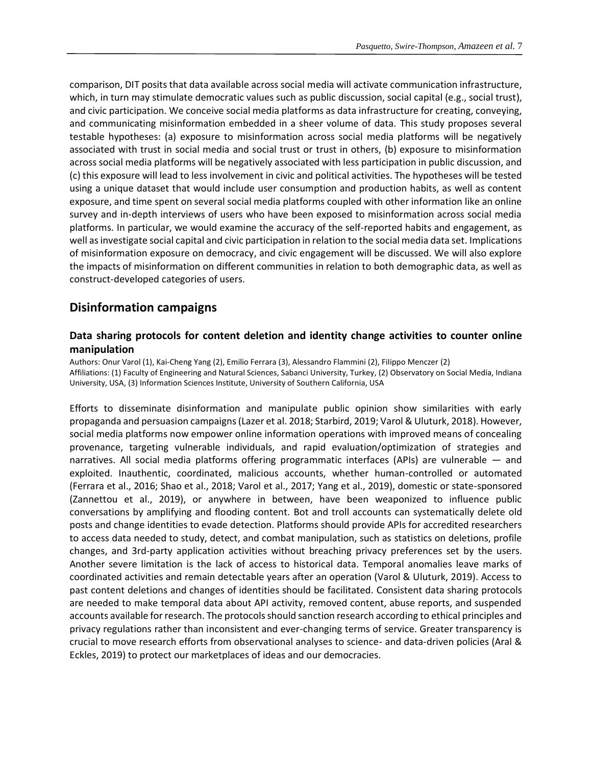comparison, DIT posits that data available across social media will activate communication infrastructure, which, in turn may stimulate democratic values such as public discussion, social capital (e.g., social trust), and civic participation. We conceive social media platforms as data infrastructure for creating, conveying, and communicating misinformation embedded in a sheer volume of data. This study proposes several testable hypotheses: (a) exposure to misinformation across social media platforms will be negatively associated with trust in social media and social trust or trust in others, (b) exposure to misinformation across social media platforms will be negatively associated with less participation in public discussion, and (c) this exposure will lead to less involvement in civic and political activities. The hypotheses will be tested using a unique dataset that would include user consumption and production habits, as well as content exposure, and time spent on several social media platforms coupled with other information like an online survey and in-depth interviews of users who have been exposed to misinformation across social media platforms. In particular, we would examine the accuracy of the self-reported habits and engagement, as well as investigate social capital and civic participation in relation to the social media data set. Implications of misinformation exposure on democracy, and civic engagement will be discussed. We will also explore the impacts of misinformation on different communities in relation to both demographic data, as well as construct-developed categories of users.

# **Disinformation campaigns**

## **Data sharing protocols for content deletion and identity change activities to counter online manipulation**

Authors: Onur Varol (1), Kai-Cheng Yang (2), Emilio Ferrara (3), Alessandro Flammini (2), FiIippo Menczer (2) Affiliations: (1) Faculty of Engineering and Natural Sciences, Sabanci University, Turkey, (2) Observatory on Social Media, Indiana University, USA, (3) Information Sciences Institute, University of Southern California, USA

Efforts to disseminate disinformation and manipulate public opinion show similarities with early propaganda and persuasion campaigns (Lazer et al. 2018; Starbird, 2019; Varol & Uluturk, 2018). However, social media platforms now empower online information operations with improved means of concealing provenance, targeting vulnerable individuals, and rapid evaluation/optimization of strategies and narratives. All social media platforms offering programmatic interfaces (APIs) are vulnerable — and exploited. Inauthentic, coordinated, malicious accounts, whether human-controlled or automated (Ferrara et al., 2016; Shao et al., 2018; Varol et al., 2017; Yang et al., 2019), domestic or state-sponsored (Zannettou et al., 2019), or anywhere in between, have been weaponized to influence public conversations by amplifying and flooding content. Bot and troll accounts can systematically delete old posts and change identities to evade detection. Platforms should provide APIs for accredited researchers to access data needed to study, detect, and combat manipulation, such as statistics on deletions, profile changes, and 3rd-party application activities without breaching privacy preferences set by the users. Another severe limitation is the lack of access to historical data. Temporal anomalies leave marks of coordinated activities and remain detectable years after an operation (Varol & Uluturk, 2019). Access to past content deletions and changes of identities should be facilitated. Consistent data sharing protocols are needed to make temporal data about API activity, removed content, abuse reports, and suspended accounts available for research. The protocols should sanction research according to ethical principles and privacy regulations rather than inconsistent and ever-changing terms of service. Greater transparency is crucial to move research efforts from observational analyses to science- and data-driven policies (Aral & Eckles, 2019) to protect our marketplaces of ideas and our democracies.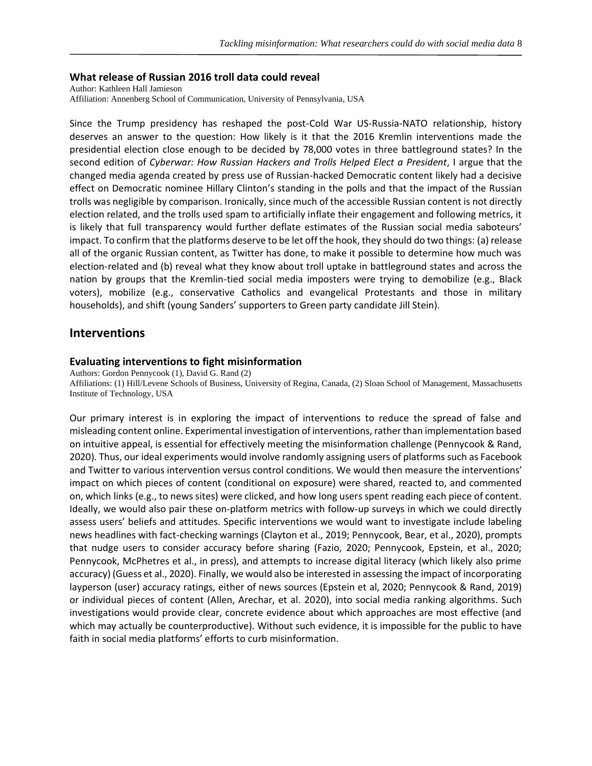#### **What release of Russian 2016 troll data could reveal**

Author: Kathleen Hall Jamieson Affiliation: Annenberg School of Communication, University of Pennsylvania, USA

Since the Trump presidency has reshaped the post-Cold War US-Russia-NATO relationship, history deserves an answer to the question: How likely is it that the 2016 Kremlin interventions made the presidential election close enough to be decided by 78,000 votes in three battleground states? In the second edition of *Cyberwar: How Russian Hackers and Trolls Helped Elect a President*, I argue that the changed media agenda created by press use of Russian-hacked Democratic content likely had a decisive effect on Democratic nominee Hillary Clinton's standing in the polls and that the impact of the Russian trolls was negligible by comparison. Ironically, since much of the accessible Russian content is not directly election related, and the trolls used spam to artificially inflate their engagement and following metrics, it is likely that full transparency would further deflate estimates of the Russian social media saboteurs' impact. To confirm that the platforms deserve to be let off the hook, they should do two things: (a) release all of the organic Russian content, as Twitter has done, to make it possible to determine how much was election-related and (b) reveal what they know about troll uptake in battleground states and across the nation by groups that the Kremlin-tied social media imposters were trying to demobilize (e.g., Black voters), mobilize (e.g., conservative Catholics and evangelical Protestants and those in military households), and shift (young Sanders' supporters to Green party candidate Jill Stein).

## **Interventions**

#### **Evaluating interventions to fight misinformation**

Authors: Gordon Pennycook (1), David G. Rand (2) Affiliations: (1) Hill/Levene Schools of Business, University of Regina, Canada, (2) Sloan School of Management, Massachusetts Institute of Technology, USA

Our primary interest is in exploring the impact of interventions to reduce the spread of false and misleading content online. Experimental investigation of interventions, rather than implementation based on intuitive appeal, is essential for effectively meeting the misinformation challenge (Pennycook & Rand, 2020). Thus, our ideal experiments would involve randomly assigning users of platforms such as Facebook and Twitter to various intervention versus control conditions. We would then measure the interventions' impact on which pieces of content (conditional on exposure) were shared, reacted to, and commented on, which links (e.g., to news sites) were clicked, and how long users spent reading each piece of content. Ideally, we would also pair these on-platform metrics with follow-up surveys in which we could directly assess users' beliefs and attitudes. Specific interventions we would want to investigate include labeling news headlines with fact-checking warnings (Clayton et al., 2019; Pennycook, Bear, et al., 2020), prompts that nudge users to consider accuracy before sharing (Fazio, 2020; Pennycook, Epstein, et al., 2020; Pennycook, McPhetres et al., in press), and attempts to increase digital literacy (which likely also prime accuracy) (Guess et al., 2020). Finally, we would also be interested in assessing the impact of incorporating layperson (user) accuracy ratings, either of news sources (Epstein et al, 2020; Pennycook & Rand, 2019) or individual pieces of content (Allen, Arechar, et al. 2020), into social media ranking algorithms. Such investigations would provide clear, concrete evidence about which approaches are most effective (and which may actually be counterproductive). Without such evidence, it is impossible for the public to have faith in social media platforms' efforts to curb misinformation.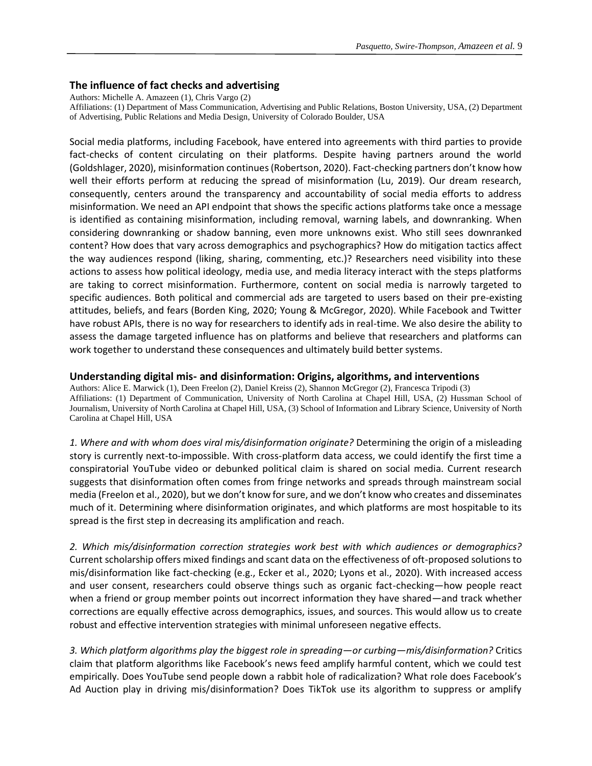## **The influence of fact checks and advertising**

Authors: Michelle A. Amazeen (1), Chris Vargo (2)

Affiliations: (1) Department of Mass Communication, Advertising and Public Relations, Boston University, USA, (2) Department of Advertising, Public Relations and Media Design, University of Colorado Boulder, USA

Social media platforms, including Facebook, have entered into agreements with third parties to provide fact-checks of content circulating on their platforms. Despite having partners around the world (Goldshlager, 2020), misinformation continues (Robertson, 2020). Fact-checking partners don't know how well their efforts perform at reducing the spread of misinformation (Lu, 2019). Our dream research, consequently, centers around the transparency and accountability of social media efforts to address misinformation. We need an API endpoint that shows the specific actions platforms take once a message is identified as containing misinformation, including removal, warning labels, and downranking. When considering downranking or shadow banning, even more unknowns exist. Who still sees downranked content? How does that vary across demographics and psychographics? How do mitigation tactics affect the way audiences respond (liking, sharing, commenting, etc.)? Researchers need visibility into these actions to assess how political ideology, media use, and media literacy interact with the steps platforms are taking to correct misinformation. Furthermore, content on social media is narrowly targeted to specific audiences. Both political and commercial ads are targeted to users based on their pre-existing attitudes, beliefs, and fears (Borden King, 2020; Young & McGregor, 2020). While Facebook and Twitter have robust APIs, there is no way for researchers to identify ads in real-time. We also desire the ability to assess the damage targeted influence has on platforms and believe that researchers and platforms can work together to understand these consequences and ultimately build better systems.

#### **Understanding digital mis- and disinformation: Origins, algorithms, and interventions**

Authors: Alice E. Marwick (1), Deen Freelon (2), Daniel Kreiss (2), Shannon McGregor (2), Francesca Tripodi (3) Affiliations: (1) Department of Communication, University of North Carolina at Chapel Hill, USA, (2) Hussman School of Journalism, University of North Carolina at Chapel Hill, USA, (3) School of Information and Library Science, University of North Carolina at Chapel Hill, USA

*1. Where and with whom does viral mis/disinformation originate?* Determining the origin of a misleading story is currently next-to-impossible. With cross-platform data access, we could identify the first time a conspiratorial YouTube video or debunked political claim is shared on social media. Current research suggests that disinformation often comes from fringe networks and spreads through mainstream social media (Freelon et al., 2020), but we don't know for sure, and we don't know who creates and disseminates much of it. Determining where disinformation originates, and which platforms are most hospitable to its spread is the first step in decreasing its amplification and reach.

*2. Which mis/disinformation correction strategies work best with which audiences or demographics?* Current scholarship offers mixed findings and scant data on the effectiveness of oft-proposed solutions to mis/disinformation like fact-checking (e.g., Ecker et al., 2020; Lyons et al., 2020). With increased access and user consent, researchers could observe things such as organic fact-checking—how people react when a friend or group member points out incorrect information they have shared—and track whether corrections are equally effective across demographics, issues, and sources. This would allow us to create robust and effective intervention strategies with minimal unforeseen negative effects.

*3. Which platform algorithms play the biggest role in spreading—or curbing—mis/disinformation?* Critics claim that platform algorithms like Facebook's news feed amplify harmful content, which we could test empirically. Does YouTube send people down a rabbit hole of radicalization? What role does Facebook's Ad Auction play in driving mis/disinformation? Does TikTok use its algorithm to suppress or amplify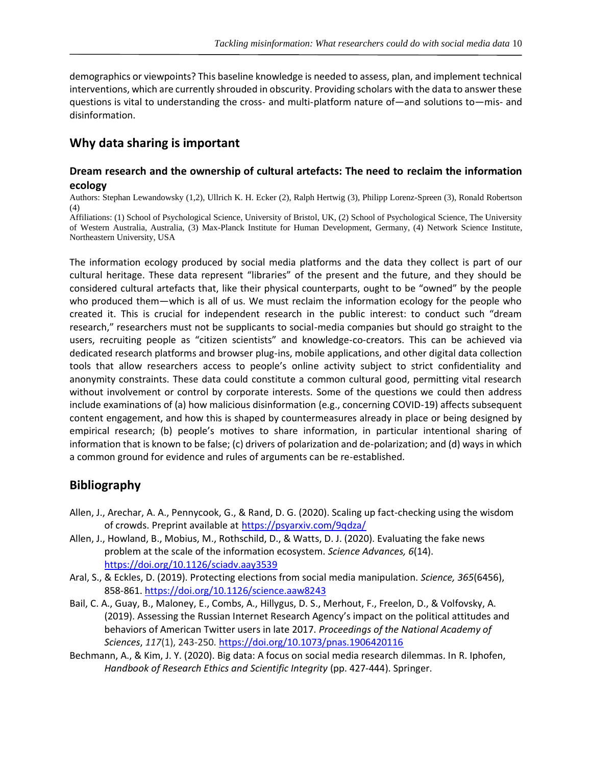demographics or viewpoints? This baseline knowledge is needed to assess, plan, and implement technical interventions, which are currently shrouded in obscurity. Providing scholars with the data to answer these questions is vital to understanding the cross- and multi-platform nature of—and solutions to—mis- and disinformation.

## **Why data sharing is important**

## **Dream research and the ownership of cultural artefacts: The need to reclaim the information ecology**

Authors: Stephan Lewandowsky (1,2), Ullrich K. H. Ecker (2), Ralph Hertwig (3), Philipp Lorenz-Spreen (3), Ronald Robertson (4)

Affiliations: (1) School of Psychological Science, University of Bristol, UK, (2) School of Psychological Science, The University of Western Australia, Australia, (3) Max-Planck Institute for Human Development, Germany, (4) Network Science Institute, Northeastern University, USA

The information ecology produced by social media platforms and the data they collect is part of our cultural heritage. These data represent "libraries" of the present and the future, and they should be considered cultural artefacts that, like their physical counterparts, ought to be "owned" by the people who produced them—which is all of us. We must reclaim the information ecology for the people who created it. This is crucial for independent research in the public interest: to conduct such "dream research," researchers must not be supplicants to social-media companies but should go straight to the users, recruiting people as "citizen scientists" and knowledge-co-creators. This can be achieved via dedicated research platforms and browser plug-ins, mobile applications, and other digital data collection tools that allow researchers access to people's online activity subject to strict confidentiality and anonymity constraints. These data could constitute a common cultural good, permitting vital research without involvement or control by corporate interests. Some of the questions we could then address include examinations of (a) how malicious disinformation (e.g., concerning COVID-19) affects subsequent content engagement, and how this is shaped by countermeasures already in place or being designed by empirical research; (b) people's motives to share information, in particular intentional sharing of information that is known to be false; (c) drivers of polarization and de-polarization; and (d) ways in which a common ground for evidence and rules of arguments can be re-established.

## **Bibliography**

- Allen, J., Arechar, A. A., Pennycook, G., & Rand, D. G. (2020). Scaling up fact-checking using the wisdom of crowds. Preprint available at <https://psyarxiv.com/9qdza/>
- Allen, J., Howland, B., Mobius, M., Rothschild, D., & Watts, D. J. (2020). Evaluating the fake news problem at the scale of the information ecosystem. *Science Advances, 6*(14). <https://doi.org/10.1126/sciadv.aay3539>
- Aral, S., & Eckles, D. (2019). Protecting elections from social media manipulation. *Science, 365*(6456), 858-861. <https://doi.org/10.1126/science.aaw8243>
- Bail, C. A., Guay, B., Maloney, E., Combs, A., Hillygus, D. S., Merhout, F., Freelon, D., & Volfovsky, A. (2019). Assessing the Russian Internet Research Agency's impact on the political attitudes and behaviors of American Twitter users in late 2017. *Proceedings of the National Academy of Sciences*, *117*(1), 243-250. <https://doi.org/10.1073/pnas.1906420116>
- Bechmann, A., & Kim, J. Y. (2020). Big data: A focus on social media research dilemmas. In R. Iphofen, *Handbook of Research Ethics and Scientific Integrity* (pp. 427-444). Springer.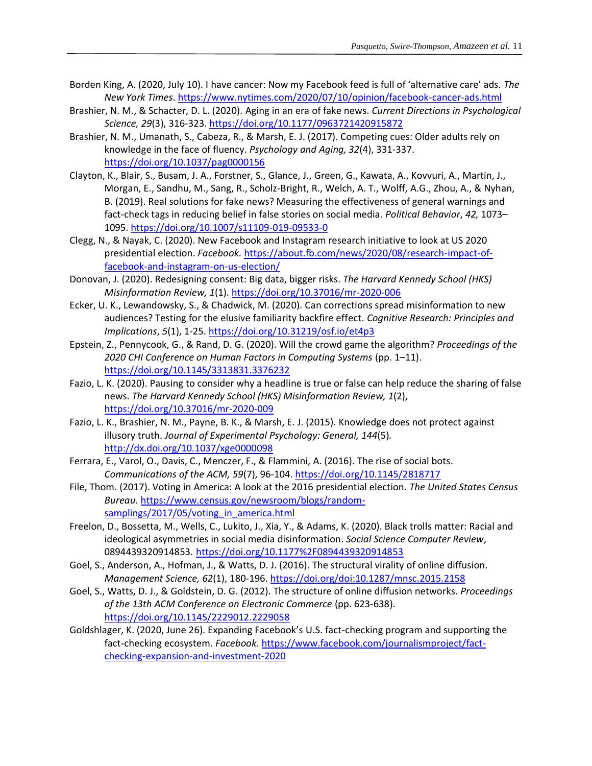- Borden King, A. (2020, July 10). I have cancer: Now my Facebook feed is full of 'alternative care' ads. *The New York Times*.<https://www.nytimes.com/2020/07/10/opinion/facebook-cancer-ads.html>
- Brashier, N. M., & Schacter, D. L. (2020). Aging in an era of fake news. *Current Directions in Psychological Science, 29*(3), 316-323[. https://doi.org/10.1177/0963721420915872](https://doi.org/10.1177%2F0963721420915872)
- Brashier, N. M., Umanath, S., Cabeza, R., & Marsh, E. J. (2017). Competing cues: Older adults rely on knowledge in the face of fluency. *Psychology and Aging, 32*(4), 331-337. <https://doi.org/10.1037/pag0000156>
- Clayton, K., Blair, S., Busam, J. A., Forstner, S., Glance, J., Green, G., Kawata, A., Kovvuri, A., Martin, J., Morgan, E., Sandhu, M., Sang, R., Scholz-Bright, R., Welch, A. T., Wolff, A.G., Zhou, A., & Nyhan, B. (2019). Real solutions for fake news? Measuring the effectiveness of general warnings and fact-check tags in reducing belief in false stories on social media. *Political Behavior*, *42,* 1073– 1095.<https://doi.org/10.1007/s11109-019-09533-0>
- Clegg, N., & Nayak, C. (2020). New Facebook and Instagram research initiative to look at US 2020 presidential election. *Facebook.* [https://about.fb.com/news/2020/08/research-impact-of](https://about.fb.com/news/2020/08/research-impact-of-facebook-and-instagram-on-us-election/)[facebook-and-instagram-on-us-election/](https://about.fb.com/news/2020/08/research-impact-of-facebook-and-instagram-on-us-election/)
- Donovan, J. (2020). Redesigning consent: Big data, bigger risks. *The Harvard Kennedy School (HKS) Misinformation Review, 1*(1)*.* <https://doi.org/10.37016/mr-2020-006>
- Ecker, U. K., Lewandowsky, S., & Chadwick, M. (2020). Can corrections spread misinformation to new audiences? Testing for the elusive familiarity backfire effect. *Cognitive Research: Principles and Implications*, *5*(1), 1-25. <https://doi.org/10.31219/osf.io/et4p3>
- Epstein, Z., Pennycook, G., & Rand, D. G. (2020). Will the crowd game the algorithm? *Proceedings of the 2020 CHI Conference on Human Factors in Computing Systems* (pp. 1–11). <https://doi.org/10.1145/3313831.3376232>
- Fazio, L. K. (2020). Pausing to consider why a headline is true or false can help reduce the sharing of false news. *The Harvard Kennedy School (HKS) Misinformation Review, 1*(2), <https://doi.org/10.37016/mr-2020-009>
- Fazio, L. K., Brashier, N. M., Payne, B. K., & Marsh, E. J. (2015). Knowledge does not protect against illusory truth. *Journal of Experimental Psychology: General, 144*(5)*.* <http://dx.doi.org/10.1037/xge0000098>
- Ferrara, E., Varol, O., Davis, C., Menczer, F., & Flammini, A. (2016). The rise of social bots. *Communications of the ACM, 59*(7), 96-104.<https://doi.org/10.1145/2818717>
- File, Thom. (2017). Voting in America: A look at the 2016 presidential election. *The United States Census Bureau.* [https://www.census.gov/newsroom/blogs/random](https://www.census.gov/newsroom/blogs/random-samplings/2017/05/voting_in_america.html)[samplings/2017/05/voting\\_in\\_america.html](https://www.census.gov/newsroom/blogs/random-samplings/2017/05/voting_in_america.html)
- Freelon, D., Bossetta, M., Wells, C., Lukito, J., Xia, Y., & Adams, K. (2020). Black trolls matter: Racial and ideological asymmetries in social media disinformation. *Social Science Computer Review*, 0894439320914853. <https://doi.org/10.1177%2F0894439320914853>
- Goel, S., Anderson, A., Hofman, J., & Watts, D. J. (2016). The structural virality of online diffusion. *Management Science, 62*(1), 180-196.<https://doi.org/doi:10.1287/mnsc.2015.2158>
- Goel, S., Watts, D. J., & Goldstein, D. G. (2012). The structure of online diffusion networks. *Proceedings of the 13th ACM Conference on Electronic Commerce* (pp. 623-638). <https://doi.org/10.1145/2229012.2229058>
- Goldshlager, K. (2020, June 26). Expanding Facebook's U.S. fact-checking program and supporting the fact-checking ecosystem. *Facebook.* [https://www.facebook.com/journalismproject/fact](https://www.facebook.com/journalismproject/fact-checking-expansion-and-investment-2020)[checking-expansion-and-investment-2020](https://www.facebook.com/journalismproject/fact-checking-expansion-and-investment-2020)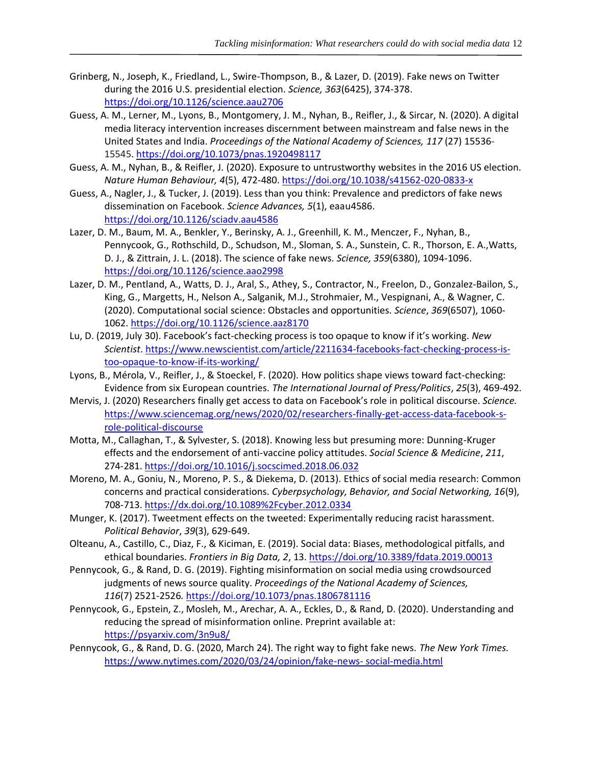- Grinberg, N., Joseph, K., Friedland, L., Swire-Thompson, B., & Lazer, D. (2019). Fake news on Twitter during the 2016 U.S. presidential election. *Science, 363*(6425), 374-378. <https://doi.org/10.1126/science.aau2706>
- Guess, A. M., Lerner, M., Lyons, B., Montgomery, J. M., Nyhan, B., Reifler, J., & Sircar, N. (2020). A digital media literacy intervention increases discernment between mainstream and false news in the United States and India. *Proceedings of the National Academy of Sciences, 117* (27) 15536- 15545.<https://doi.org/10.1073/pnas.1920498117>
- Guess, A. M., Nyhan, B., & Reifler, J. (2020). Exposure to untrustworthy websites in the 2016 US election. *Nature Human Behaviour, 4*(5), 472-480.<https://doi.org/10.1038/s41562-020-0833-x>
- Guess, A., Nagler, J., & Tucker, J. (2019). Less than you think: Prevalence and predictors of fake news dissemination on Facebook. *Science Advances, 5*(1), eaau4586. <https://doi.org/10.1126/sciadv.aau4586>
- Lazer, D. M., Baum, M. A., Benkler, Y., Berinsky, A. J., Greenhill, K. M., Menczer, F., Nyhan, B., Pennycook, G., Rothschild, D., Schudson, M., Sloman, S. A., Sunstein, C. R., Thorson, E. A.,Watts, D. J., & Zittrain, J. L. (2018). The science of fake news. *Science, 359*(6380), 1094-1096. <https://doi.org/10.1126/science.aao2998>
- Lazer, D. M., Pentland, A., Watts, D. J., Aral, S., Athey, S., Contractor, N., Freelon, D., Gonzalez-Bailon, S., King, G., Margetts, H., Nelson A., Salganik, M.J., Strohmaier, M., Vespignani, A., & Wagner, C. (2020). Computational social science: Obstacles and opportunities. *Science*, *369*(6507), 1060- 1062. <https://doi.org/10.1126/science.aaz8170>
- Lu, D. (2019, July 30). Facebook's fact-checking process is too opaque to know if it's working. *New Scientist*[. https://www.newscientist.com/article/2211634-facebooks-fact-checking-process-is](https://www.newscientist.com/article/2211634-facebooks-fact-checking-process-is-too-opaque-to-know-if-its-working/)[too-opaque-to-know-if-its-working/](https://www.newscientist.com/article/2211634-facebooks-fact-checking-process-is-too-opaque-to-know-if-its-working/)
- Lyons, B., Mérola, V., Reifler, J., & Stoeckel, F. (2020). How politics shape views toward fact-checking: Evidence from six European countries. *The International Journal of Press/Politics*, *25*(3), 469-492.
- Mervis, J. (2020) Researchers finally get access to data on Facebook's role in political discourse. *Science.* [https://www.sciencemag.org/news/2020/02/researchers-finally-get-access-data-facebook-s](https://www.sciencemag.org/news/2020/02/researchers-finally-get-access-data-facebook-s-role-political-discourse)[role-political-discourse](https://www.sciencemag.org/news/2020/02/researchers-finally-get-access-data-facebook-s-role-political-discourse)
- Motta, M., Callaghan, T., & Sylvester, S. (2018). Knowing less but presuming more: Dunning-Kruger effects and the endorsement of anti-vaccine policy attitudes. *Social Science & Medicine*, *211*, 274-281.<https://doi.org/10.1016/j.socscimed.2018.06.032>
- Moreno, M. A., Goniu, N., Moreno, P. S., & Diekema, D. (2013). Ethics of social media research: Common concerns and practical considerations. *Cyberpsychology, Behavior, and Social Networking, 16*(9), 708-713.<https://dx.doi.org/10.1089%2Fcyber.2012.0334>
- Munger, K. (2017). Tweetment effects on the tweeted: Experimentally reducing racist harassment. *Political Behavior*, *39*(3), 629-649.
- Olteanu, A., Castillo, C., Diaz, F., & Kiciman, E. (2019). Social data: Biases, methodological pitfalls, and ethical boundaries. *Frontiers in Big Data, 2*, 13. <https://doi.org/10.3389/fdata.2019.00013>
- Pennycook, G., & Rand, D. G. (2019). Fighting misinformation on social media using crowdsourced judgments of news source quality. *Proceedings of the National Academy of Sciences, 116*(7) 2521-2526*.* <https://doi.org/10.1073/pnas.1806781116>
- Pennycook, G., Epstein, Z., Mosleh, M., Arechar, A. A., Eckles, D., & Rand, D. (2020). Understanding and reducing the spread of misinformation online. Preprint available at: <https://psyarxiv.com/3n9u8/>
- Pennycook, G., & Rand, D. G. (2020, March 24). The right way to fight fake news. *The New York Times.* [https://www.nytimes.com/2020/03/24/opinion/fake-news-](https://www.nytimes.com/2020/03/24/opinion/fake-news-%20social-media.html) social-media.html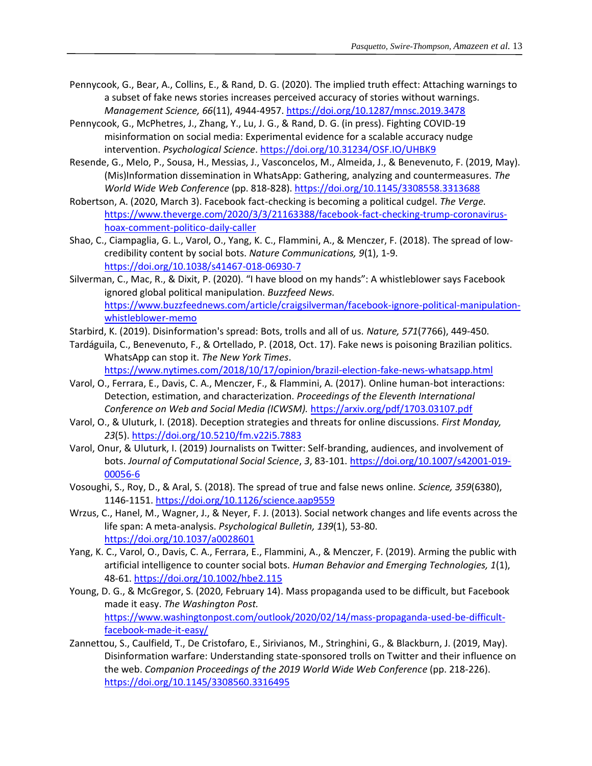- Pennycook, G., Bear, A., Collins, E., & Rand, D. G. (2020). The implied truth effect: Attaching warnings to a subset of fake news stories increases perceived accuracy of stories without warnings. *Management Science, 66*(11), 4944-4957.<https://doi.org/10.1287/mnsc.2019.3478>
- Pennycook, G., McPhetres, J., Zhang, Y., Lu, J. G., & Rand, D. G. (in press). Fighting COVID-19 misinformation on social media: Experimental evidence for a scalable accuracy nudge intervention. *Psychological Science*. <https://doi.org/10.31234/OSF.IO/UHBK9>
- Resende, G., Melo, P., Sousa, H., Messias, J., Vasconcelos, M., Almeida, J., & Benevenuto, F. (2019, May). (Mis)Information dissemination in WhatsApp: Gathering, analyzing and countermeasures. *The World Wide Web Conference* (pp. 818-828). <https://doi.org/10.1145/3308558.3313688>
- Robertson, A. (2020, March 3). Facebook fact-checking is becoming a political cudgel. *The Verge.*  [https://www.theverge.com/2020/3/3/21163388/facebook-fact-checking-trump-coronavirus](https://www.theverge.com/2020/3/3/21163388/facebook-fact-checking-trump-coronavirus-hoax-comment-politico-daily-caller)[hoax-comment-politico-daily-caller](https://www.theverge.com/2020/3/3/21163388/facebook-fact-checking-trump-coronavirus-hoax-comment-politico-daily-caller)
- Shao, C., Ciampaglia, G. L., Varol, O., Yang, K. C., Flammini, A., & Menczer, F. (2018). The spread of lowcredibility content by social bots. *Nature Communications, 9*(1), 1-9. <https://doi.org/10.1038/s41467-018-06930-7>
- Silverman, C., Mac, R., & Dixit, P. (2020). "I have blood on my hands": A whistleblower says Facebook ignored global political manipulation. *Buzzfeed News.*  [https://www.buzzfeednews.com/article/craigsilverman/facebook-ignore-political-manipulation](https://www.buzzfeednews.com/article/craigsilverman/facebook-ignore-political-manipulation-whistleblower-memo)[whistleblower-memo](https://www.buzzfeednews.com/article/craigsilverman/facebook-ignore-political-manipulation-whistleblower-memo)
- Starbird, K. (2019). Disinformation's spread: Bots, trolls and all of us. *Nature, 571*(7766), 449-450.
- Tardáguila, C., Benevenuto, F., & Ortellado, P. (2018, Oct. 17). Fake news is poisoning Brazilian politics. WhatsApp can stop it. *The New York Times*.

<https://www.nytimes.com/2018/10/17/opinion/brazil-election-fake-news-whatsapp.html>

- Varol, O., Ferrara, E., Davis, C. A., Menczer, F., & Flammini, A. (2017). Online human-bot interactions: Detection, estimation, and characterization. *Proceedings of the Eleventh International Conference on Web and Social Media (ICWSM).* <https://arxiv.org/pdf/1703.03107.pdf>
- Varol, O., & Uluturk, I. (2018). Deception strategies and threats for online discussions. *First Monday, 23*(5). <https://doi.org/10.5210/fm.v22i5.7883>
- Varol, Onur, & Uluturk, I. (2019) Journalists on Twitter: Self-branding, audiences, and involvement of bots. *Journal of Computational Social Science*, *3*, 83-101. [https://doi.org/10.1007/s42001-019-](https://doi.org/10.1007/s42001-019-00056-6) [00056-6](https://doi.org/10.1007/s42001-019-00056-6)
- Vosoughi, S., Roy, D., & Aral, S. (2018). The spread of true and false news online. *Science, 359*(6380), 1146-1151.<https://doi.org/10.1126/science.aap9559>
- Wrzus, C., Hanel, M., Wagner, J., & Neyer, F. J. (2013). Social network changes and life events across the life span: A meta-analysis. *Psychological Bulletin, 139*(1), 53-80. <https://doi.org/10.1037/a0028601>
- Yang, K. C., Varol, O., Davis, C. A., Ferrara, E., Flammini, A., & Menczer, F. (2019). Arming the public with artificial intelligence to counter social bots. *Human Behavior and Emerging Technologies, 1*(1), 48-61.<https://doi.org/10.1002/hbe2.115>
- Young, D. G., & McGregor, S. (2020, February 14). Mass propaganda used to be difficult, but Facebook made it easy. *The Washington Post.* [https://www.washingtonpost.com/outlook/2020/02/14/mass-propaganda-used-be-difficult](https://www.washingtonpost.com/outlook/2020/02/14/mass-propaganda-used-be-difficult-facebook-made-it-easy/)[facebook-made-it-easy/](https://www.washingtonpost.com/outlook/2020/02/14/mass-propaganda-used-be-difficult-facebook-made-it-easy/)
- Zannettou, S., Caulfield, T., De Cristofaro, E., Sirivianos, M., Stringhini, G., & Blackburn, J. (2019, May). Disinformation warfare: Understanding state-sponsored trolls on Twitter and their influence on the web. *Companion Proceedings of the 2019 World Wide Web Conference* (pp. 218-226). <https://doi.org/10.1145/3308560.3316495>